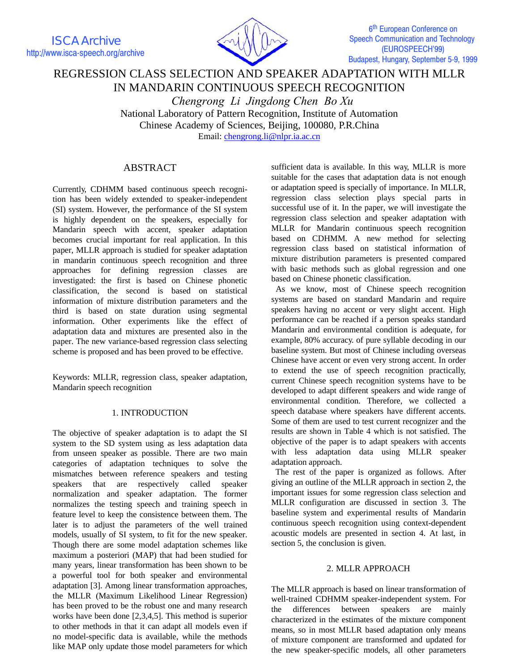ISCA Archive http://www.isca-speech.org/archive



6<sup>th</sup> European Conference on Speech Communication and Technology (EUROSPEECH'99) Budapest, Hungary, September 5-9, 1999

# REGRESSION CLASS SELECTION AND SPEAKER ADAPTATION WITH MLLR IN MANDARIN CONTINUOUS SPEECH RECOGNITION

 *Chengrong Li Jingdong Chen Bo Xu* National Laboratory of Pattern Recognition, Institute of Automation Chinese Academy of Sciences, Beijing, 100080, P.R.China Email: chengrong.li@nlpr.ia.ac.cn

## ABSTRACT

Currently, CDHMM based continuous speech recognition has been widely extended to speaker-independent (SI) system. However, the performance of the SI system is highly dependent on the speakers, especially for Mandarin speech with accent, speaker adaptation becomes crucial important for real application. In this paper, MLLR approach is studied for speaker adaptation in mandarin continuous speech recognition and three approaches for defining regression classes are investigated: the first is based on Chinese phonetic classification, the second is based on statistical information of mixture distribution parameters and the third is based on state duration using segmental information. Other experiments like the effect of adaptation data and mixtures are presented also in the paper. The new variance-based regression class selecting scheme is proposed and has been proved to be effective.

Keywords: MLLR, regression class, speaker adaptation, Mandarin speech recognition

## 1. INTRODUCTION

The objective of speaker adaptation is to adapt the SI system to the SD system using as less adaptation data from unseen speaker as possible. There are two main categories of adaptation techniques to solve the mismatches between reference speakers and testing speakers that are respectively called speaker normalization and speaker adaptation. The former normalizes the testing speech and training speech in feature level to keep the consistence between them. The later is to adjust the parameters of the well trained models, usually of SI system, to fit for the new speaker. Though there are some model adaptation schemes like maximum a posteriori (MAP) that had been studied for many years, linear transformation has been shown to be a powerful tool for both speaker and environmental adaptation [3]. Among linear transformation approaches, the MLLR (Maximum Likelihood Linear Regression) has been proved to be the robust one and many research works have been done [2,3,4,5]. This method is superior to other methods in that it can adapt all models even if no model-specific data is available, while the methods like MAP only update those model parameters for which

sufficient data is available. In this way, MLLR is more suitable for the cases that adaptation data is not enough or adaptation speed is specially of importance. In MLLR, regression class selection plays special parts in successful use of it. In the paper, we will investigate the regression class selection and speaker adaptation with MLLR for Mandarin continuous speech recognition based on CDHMM. A new method for selecting regression class based on statistical information of mixture distribution parameters is presented compared with basic methods such as global regression and one based on Chinese phonetic classification.

 As we know, most of Chinese speech recognition systems are based on standard Mandarin and require speakers having no accent or very slight accent. High performance can be reached if a person speaks standard Mandarin and environmental condition is adequate, for example, 80% accuracy. of pure syllable decoding in our baseline system. But most of Chinese including overseas Chinese have accent or even very strong accent. In order to extend the use of speech recognition practically, current Chinese speech recognition systems have to be developed to adapt different speakers and wide range of environmental condition. Therefore, we collected a speech database where speakers have different accents. Some of them are used to test current recognizer and the results are shown in Table 4 which is not satisfied. The objective of the paper is to adapt speakers with accents with less adaptation data using MLLR speaker adaptation approach.

 The rest of the paper is organized as follows. After giving an outline of the MLLR approach in section 2, the important issues for some regression class selection and MLLR configuration are discussed in section 3. The baseline system and experimental results of Mandarin continuous speech recognition using context-dependent acoustic models are presented in section 4. At last, in section 5, the conclusion is given.

## 2. MLLR APPROACH

The MLLR approach is based on linear transformation of well-trained CDHMM speaker-independent system. For the differences between speakers are mainly characterized in the estimates of the mixture component means, so in most MLLR based adaptation only means of mixture component are transformed and updated for the new speaker-specific models, all other parameters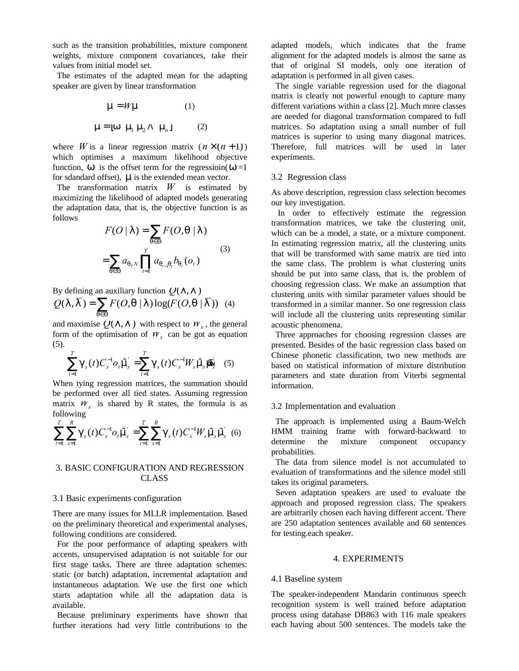such as the transition probabilities, mixture component weights, mixture component covariances, take their values from initial model set.

 The estimates of the adapted mean for the adapting speaker are given by linear transformation

$$
m = Wm
$$
 (1)  
m = [w m<sub>1</sub> m<sub>2</sub> A m<sub>n</sub>] (2)

where *W* is a linear regression matrix  $(n \times (n+1))$ which optimises a maximum likelihood objective function, *w* is the offset term for the regressioin(*w*=1 for sdandard offset), *M*is the extended mean vector.

 The transformation matrix *W* is estimated by maximizing the likelihood of adapted models generating the adaptation data, that is, the objective function is as follows

$$
F(O | I ) = \sum_{q \in \Theta} F(O, q | I )
$$
  
= 
$$
\sum_{q \in \Theta} a_{q_r N} \prod_{t=1}^T a_{q_{t-1} q_t} b_{q_t}(o_t)
$$
 (3)

By defining an auxiliary function  $Q(1, 1)$  $(l, l) = \sum F(O, q | l) \log(F(O, q | l))$  $Q(1, \overline{1}) = \sum_{q \in \Theta} F(O, q | 1) \log(F(O))$  $= \sum F(O, q | I) \log(F(O, q | \overline{I}))$  (4)

and maximise  $Q(1, 1)$  with respect to  $W_s$ , the general form of the optimisation of  $W_s$  can be got as equation (5).

$$
\sum_{t=1}^{T} \mathbf{g}_s(t) C_s^{-1} o_t \hat{\mathbf{m}} = \sum_{t=1}^{T} \mathbf{g}_s(t) C_s^{-1} W_s \hat{\mathbf{m}} \hat{\mathbf{m}} \tag{5}
$$

When tying regression matrices, the summation should be performed over all tied states. Assuming regression matrix  $W_s$  is shared by R states, the formula is as following

$$
\sum_{t=1}^{T} \sum_{s=1}^{R} \mathcal{G}_{s}(t) C_{s}^{-1} o_{t} \hat{\eta}_{s} = \sum_{t=1}^{T} \sum_{s=1}^{R} \mathcal{G}_{s}(t) C_{s}^{-1} W_{s} \hat{\eta}_{s} \hat{\eta}_{s} \tag{6}
$$

## 3. BASIC CONFIGURATION AND REGRESSION CLASS

#### 3.1 Basic experiments configuration

There are many issues for MLLR implementation. Based on the preliminary theoretical and experimental analyses, following conditions are considered.

 For the poor performance of adapting speakers with accents, unsupervised adaptation is not suitable for our first stage tasks. There are three adaptation schemes: static (or batch) adaptation, incremental adaptation and instantaneous adaptation. We use the first one which starts adaptation while all the adaptation data is available.

 Because preliminary experiments have shown that further iterations had very little contributions to the

adapted models, which indicates that the frame alignment for the adapted models is almost the same as that of original SI models, only one iteration of adaptation is performed in all given cases.

 The single variable regression used for the diagonal matrix is clearly not powerful enough to capture many different variations within a class [2]. Much more classes are needed for diagonal transformation compared to full matrices. So adaptation using a small number of full matrices is superior to using many diagonal matrices. Therefore, full matrices will be used in later experiments.

#### 3.2 Regression class

As above description, regression class selection becomes our key investigation.

 In order to effectively estimate the regression transformation matrices, we take the clustering unit, which can be a model, a state, or a mixture component. In estimating regression matrix, all the clustering units that will be transformed with same matrix are tied into the same class. The problem is what clustering units should be put into same class, that is, the problem of choosing regression class. We make an assumption that clustering units with similar parameter values should be transformed in a similar manner. So one regression class will include all the clustering units representing similar acoustic phenomena.

 Three approaches for choosing regression classes are presented. Besides of the basic regression class based on Chinese phonetic classification, two new methods are based on statistical information of mixture distribution parameters and state duration from Viterbi segmental information.

#### 3.2 Implementation and evaluation

 The approach is implemented using a Baum-Welch HMM training frame with forward-backward to determine the mixture component occupancy probabilities.

 The data from silence model is not accumulated to evaluation of transformations and the silence model still takes its original parameters.

 Seven adaptation speakers are used to evaluate the approach and proposed regression class. The speakers are arbitrarily chosen each having different accent. There are 250 adaptation sentences available and 60 sentences for testing.each speaker.

#### 4. EXPERIMENTS

#### 4.1 Baseline system

The speaker-independent Mandarin continuous speech recognition system is well trained before adaptation process using database DB863 with 116 male speakers each having about 500 sentences. The models take the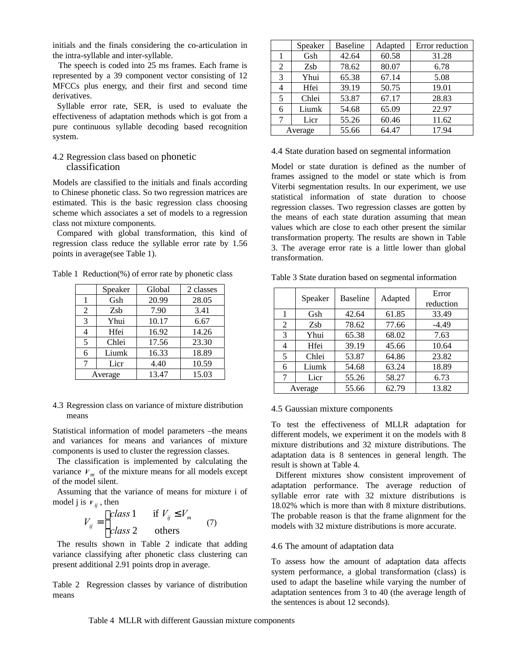initials and the finals considering the co-articulation in the intra-syllable and inter-syllable.

 The speech is coded into 25 ms frames. Each frame is represented by a 39 component vector consisting of 12 MFCCs plus energy, and their first and second time derivatives.

 Syllable error rate, SER, is used to evaluate the effectiveness of adaptation methods which is got from a pure continuous syllable decoding based recognition system.

### 4.2 Regression class based on phonetic classification

Models are classified to the initials and finals according to Chinese phonetic class. So two regression matrices are estimated. This is the basic regression class choosing scheme which associates a set of models to a regression class not mixture components.

 Compared with global transformation, this kind of regression class reduce the syllable error rate by 1.56 points in average(see Table 1).

Table 1 Reduction(%) of error rate by phonetic class

|         | Speaker | Global | 2 classes |  |
|---------|---------|--------|-----------|--|
| 1       | Gsh     | 20.99  | 28.05     |  |
| 2       | Zsb     | 7.90   | 3.41      |  |
| 3       | Yhui    | 10.17  | 6.67      |  |
|         | Hfei    | 16.92  | 14.26     |  |
| 5       | Chlei   | 17.56  | 23.30     |  |
| 6       | Liumk   | 16.33  | 18.89     |  |
| 7       | Licr    | 4.40   | 10.59     |  |
| Average |         | 13.47  | 15.03     |  |
|         |         |        |           |  |

4.3 Regression class on variance of mixture distribution means

Statistical information of model parameters –the means and variances for means and variances of mixture components is used to cluster the regression classes.

 The classification is implemented by calculating the variance  $V_m$  of the mixture means for all models except of the model silent.

 Assuming that the variance of means for mixture i of model j is  $V_{ii}$ , then

$$
V_{ij} = \begin{cases} class \ 1 & \text{if } V_{ij} \le V_m \\ class \ 2 & \text{others} \end{cases} \tag{7}
$$

 The results shown in Table 2 indicate that adding variance classifying after phonetic class clustering can present additional 2.91 points drop in average.

Table 2 Regression classes by variance of distribution means

|         | Speaker | <b>Baseline</b> | Adapted | Error reduction |
|---------|---------|-----------------|---------|-----------------|
|         | Gsh     | 42.64           | 60.58   | 31.28           |
| 2       | Zsb     | 78.62           | 80.07   | 6.78            |
| 3       | Yhui    | 65.38           | 67.14   | 5.08            |
|         | Hfei    | 39.19           | 50.75   | 19.01           |
| 5       | Chlei   | 53.87           | 67.17   | 28.83           |
| 6       | Liumk   | 54.68           | 65.09   | 22.97           |
|         | Licr    | 55.26           | 60.46   | 11.62           |
| Average |         | 55.66           | 64.47   | 17.94           |

4.4 State duration based on segmental information

Model or state duration is defined as the number of frames assigned to the model or state which is from Viterbi segmentation results. In our experiment, we use statistical information of state duration to choose regression classes. Two regression classes are gotten by the means of each state duration assuming that mean values which are close to each other present the similar transformation property. The results are shown in Table 3. The average error rate is a little lower than global transformation.

|   | Speaker | <b>Baseline</b><br>Adapted |       | Error<br>reduction |  |
|---|---------|----------------------------|-------|--------------------|--|
|   | Gsh     | 42.64                      | 61.85 | 33.49              |  |
| 2 | Zsb     | 78.62                      | 77.66 | $-4.49$            |  |
| 3 | Yhui    | 65.38                      | 68.02 | 7.63               |  |
| 4 | Hfei    | 39.19                      | 45.66 | 10.64              |  |
| 5 | Chlei   | 53.87                      | 64.86 | 23.82              |  |
| 6 | Liumk   | 54.68                      | 63.24 | 18.89              |  |
| 7 | Licr    | 55.26                      | 58.27 | 6.73               |  |
|   | Average | 55.66                      | 62.79 | 13.82              |  |

Table 3 State duration based on segmental information

#### 4.5 Gaussian mixture components

To test the effectiveness of MLLR adaptation for different models, we experiment it on the models with 8 mixture distributions and 32 mixture distributions. The adaptation data is 8 sentences in general length. The result is shown at Table 4.

 Different mixtures show consistent improvement of adaptation performance. The average reduction of syllable error rate with 32 mixture distributions is 18.02% which is more than with 8 mixture distributions. The probable reason is that the frame alignment for the models with 32 mixture distributions is more accurate.

#### 4.6 The amount of adaptation data

To assess how the amount of adaptation data affects system performance, a global transformation (class) is used to adapt the baseline while varying the number of adaptation sentences from 3 to 40 (the average length of the sentences is about 12 seconds).

Table 4 MLLR with different Gaussian mixture components